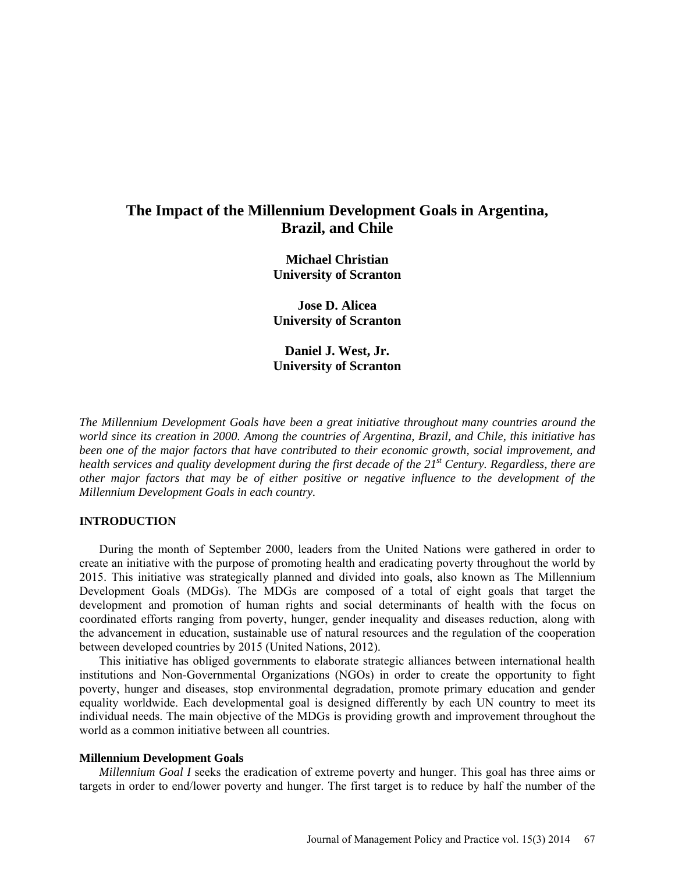# **The Impact of the Millennium Development Goals in Argentina, Brazil, and Chile**

**Michael Christian University of Scranton**

**Jose D. Alicea University of Scranton**

**Daniel J. West, Jr. University of Scranton**

*The Millennium Development Goals have been a great initiative throughout many countries around the world since its creation in 2000. Among the countries of Argentina, Brazil, and Chile, this initiative has been one of the major factors that have contributed to their economic growth, social improvement, and health services and quality development during the first decade of the 21st Century. Regardless, there are other major factors that may be of either positive or negative influence to the development of the Millennium Development Goals in each country.*

#### **INTRODUCTION**

During the month of September 2000, leaders from the United Nations were gathered in order to create an initiative with the purpose of promoting health and eradicating poverty throughout the world by 2015. This initiative was strategically planned and divided into goals, also known as The Millennium Development Goals (MDGs). The MDGs are composed of a total of eight goals that target the development and promotion of human rights and social determinants of health with the focus on coordinated efforts ranging from poverty, hunger, gender inequality and diseases reduction, along with the advancement in education, sustainable use of natural resources and the regulation of the cooperation between developed countries by 2015 (United Nations, 2012).

This initiative has obliged governments to elaborate strategic alliances between international health institutions and Non-Governmental Organizations (NGOs) in order to create the opportunity to fight poverty, hunger and diseases, stop environmental degradation, promote primary education and gender equality worldwide. Each developmental goal is designed differently by each UN country to meet its individual needs. The main objective of the MDGs is providing growth and improvement throughout the world as a common initiative between all countries.

#### **Millennium Development Goals**

*Millennium Goal I* seeks the eradication of extreme poverty and hunger. This goal has three aims or targets in order to end/lower poverty and hunger. The first target is to reduce by half the number of the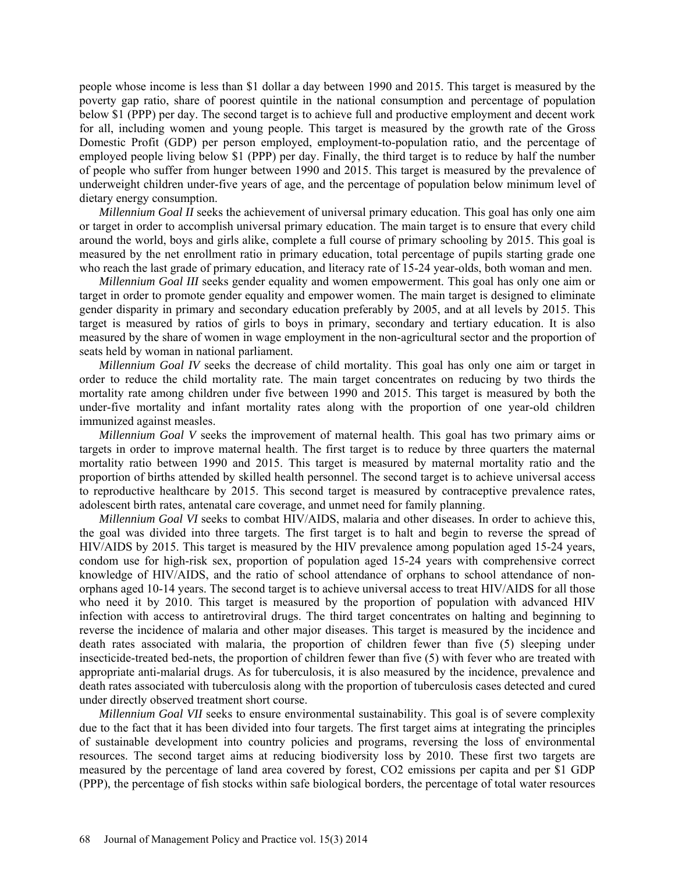people whose income is less than \$1 dollar a day between 1990 and 2015. This target is measured by the poverty gap ratio, share of poorest quintile in the national consumption and percentage of population below \$1 (PPP) per day. The second target is to achieve full and productive employment and decent work for all, including women and young people. This target is measured by the growth rate of the Gross Domestic Profit (GDP) per person employed, employment-to-population ratio, and the percentage of employed people living below \$1 (PPP) per day. Finally, the third target is to reduce by half the number of people who suffer from hunger between 1990 and 2015. This target is measured by the prevalence of underweight children under-five years of age, and the percentage of population below minimum level of dietary energy consumption.

*Millennium Goal II* seeks the achievement of universal primary education. This goal has only one aim or target in order to accomplish universal primary education. The main target is to ensure that every child around the world, boys and girls alike, complete a full course of primary schooling by 2015. This goal is measured by the net enrollment ratio in primary education, total percentage of pupils starting grade one who reach the last grade of primary education, and literacy rate of 15-24 year-olds, both woman and men.

*Millennium Goal III* seeks gender equality and women empowerment. This goal has only one aim or target in order to promote gender equality and empower women. The main target is designed to eliminate gender disparity in primary and secondary education preferably by 2005, and at all levels by 2015. This target is measured by ratios of girls to boys in primary, secondary and tertiary education. It is also measured by the share of women in wage employment in the non-agricultural sector and the proportion of seats held by woman in national parliament.

*Millennium Goal IV* seeks the decrease of child mortality. This goal has only one aim or target in order to reduce the child mortality rate. The main target concentrates on reducing by two thirds the mortality rate among children under five between 1990 and 2015. This target is measured by both the under-five mortality and infant mortality rates along with the proportion of one year-old children immunized against measles.

*Millennium Goal V* seeks the improvement of maternal health. This goal has two primary aims or targets in order to improve maternal health. The first target is to reduce by three quarters the maternal mortality ratio between 1990 and 2015. This target is measured by maternal mortality ratio and the proportion of births attended by skilled health personnel. The second target is to achieve universal access to reproductive healthcare by 2015. This second target is measured by contraceptive prevalence rates, adolescent birth rates, antenatal care coverage, and unmet need for family planning.

*Millennium Goal VI* seeks to combat HIV/AIDS, malaria and other diseases. In order to achieve this, the goal was divided into three targets. The first target is to halt and begin to reverse the spread of HIV/AIDS by 2015. This target is measured by the HIV prevalence among population aged 15-24 years, condom use for high-risk sex, proportion of population aged 15-24 years with comprehensive correct knowledge of HIV/AIDS, and the ratio of school attendance of orphans to school attendance of nonorphans aged 10-14 years. The second target is to achieve universal access to treat HIV/AIDS for all those who need it by 2010. This target is measured by the proportion of population with advanced HIV infection with access to antiretroviral drugs. The third target concentrates on halting and beginning to reverse the incidence of malaria and other major diseases. This target is measured by the incidence and death rates associated with malaria, the proportion of children fewer than five (5) sleeping under insecticide-treated bed-nets, the proportion of children fewer than five (5) with fever who are treated with appropriate anti-malarial drugs. As for tuberculosis, it is also measured by the incidence, prevalence and death rates associated with tuberculosis along with the proportion of tuberculosis cases detected and cured under directly observed treatment short course.

*Millennium Goal VII* seeks to ensure environmental sustainability. This goal is of severe complexity due to the fact that it has been divided into four targets. The first target aims at integrating the principles of sustainable development into country policies and programs, reversing the loss of environmental resources. The second target aims at reducing biodiversity loss by 2010. These first two targets are measured by the percentage of land area covered by forest, CO2 emissions per capita and per \$1 GDP (PPP), the percentage of fish stocks within safe biological borders, the percentage of total water resources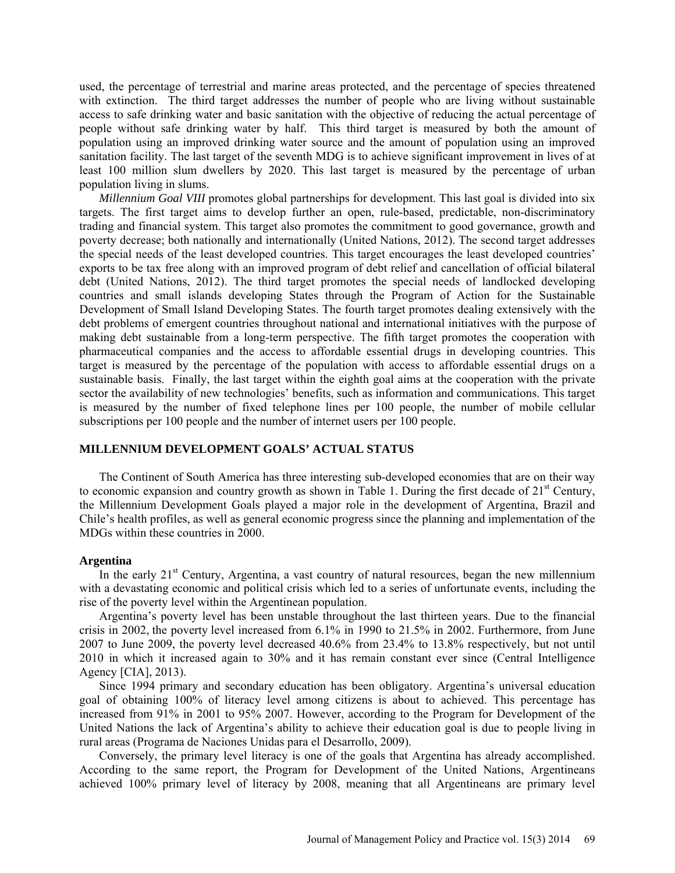used, the percentage of terrestrial and marine areas protected, and the percentage of species threatened with extinction. The third target addresses the number of people who are living without sustainable access to safe drinking water and basic sanitation with the objective of reducing the actual percentage of people without safe drinking water by half. This third target is measured by both the amount of population using an improved drinking water source and the amount of population using an improved sanitation facility. The last target of the seventh MDG is to achieve significant improvement in lives of at least 100 million slum dwellers by 2020. This last target is measured by the percentage of urban population living in slums.

*Millennium Goal VIII* promotes global partnerships for development. This last goal is divided into six targets. The first target aims to develop further an open, rule-based, predictable, non-discriminatory trading and financial system. This target also promotes the commitment to good governance, growth and poverty decrease; both nationally and internationally (United Nations, 2012). The second target addresses the special needs of the least developed countries. This target encourages the least developed countries' exports to be tax free along with an improved program of debt relief and cancellation of official bilateral debt (United Nations, 2012). The third target promotes the special needs of landlocked developing countries and small islands developing States through the Program of Action for the Sustainable Development of Small Island Developing States. The fourth target promotes dealing extensively with the debt problems of emergent countries throughout national and international initiatives with the purpose of making debt sustainable from a long-term perspective. The fifth target promotes the cooperation with pharmaceutical companies and the access to affordable essential drugs in developing countries. This target is measured by the percentage of the population with access to affordable essential drugs on a sustainable basis. Finally, the last target within the eighth goal aims at the cooperation with the private sector the availability of new technologies' benefits, such as information and communications. This target is measured by the number of fixed telephone lines per 100 people, the number of mobile cellular subscriptions per 100 people and the number of internet users per 100 people.

### **MILLENNIUM DEVELOPMENT GOALS' ACTUAL STATUS**

The Continent of South America has three interesting sub-developed economies that are on their way to economic expansion and country growth as shown in Table 1. During the first decade of  $21<sup>st</sup>$  Century, the Millennium Development Goals played a major role in the development of Argentina, Brazil and Chile's health profiles, as well as general economic progress since the planning and implementation of the MDGs within these countries in 2000.

### **Argentina**

In the early  $21<sup>st</sup>$  Century, Argentina, a vast country of natural resources, began the new millennium with a devastating economic and political crisis which led to a series of unfortunate events, including the rise of the poverty level within the Argentinean population.

Argentina's poverty level has been unstable throughout the last thirteen years. Due to the financial crisis in 2002, the poverty level increased from 6.1% in 1990 to 21.5% in 2002. Furthermore, from June 2007 to June 2009, the poverty level decreased 40.6% from 23.4% to 13.8% respectively, but not until 2010 in which it increased again to 30% and it has remain constant ever since (Central Intelligence Agency [CIA], 2013).

Since 1994 primary and secondary education has been obligatory. Argentina's universal education goal of obtaining 100% of literacy level among citizens is about to achieved. This percentage has increased from 91% in 2001 to 95% 2007. However, according to the Program for Development of the United Nations the lack of Argentina's ability to achieve their education goal is due to people living in rural areas (Programa de Naciones Unidas para el Desarrollo, 2009).

Conversely, the primary level literacy is one of the goals that Argentina has already accomplished. According to the same report, the Program for Development of the United Nations, Argentineans achieved 100% primary level of literacy by 2008, meaning that all Argentineans are primary level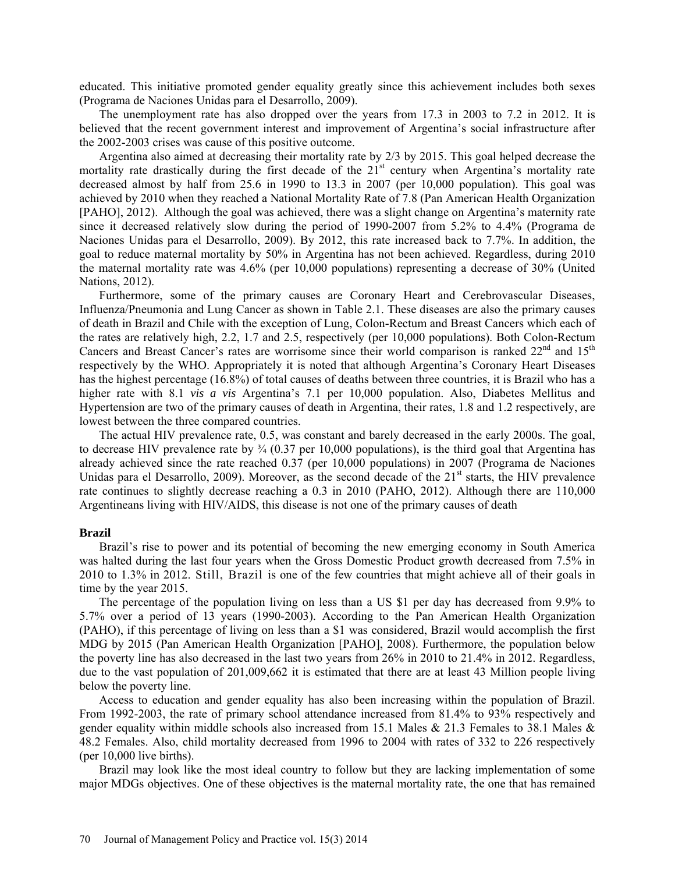educated. This initiative promoted gender equality greatly since this achievement includes both sexes (Programa de Naciones Unidas para el Desarrollo, 2009).

The unemployment rate has also dropped over the years from 17.3 in 2003 to 7.2 in 2012. It is believed that the recent government interest and improvement of Argentina's social infrastructure after the 2002-2003 crises was cause of this positive outcome.

Argentina also aimed at decreasing their mortality rate by 2/3 by 2015. This goal helped decrease the mortality rate drastically during the first decade of the  $21<sup>st</sup>$  century when Argentina's mortality rate decreased almost by half from 25.6 in 1990 to 13.3 in 2007 (per 10,000 population). This goal was achieved by 2010 when they reached a National Mortality Rate of 7.8 (Pan American Health Organization [PAHO], 2012). Although the goal was achieved, there was a slight change on Argentina's maternity rate since it decreased relatively slow during the period of 1990-2007 from 5.2% to 4.4% (Programa de Naciones Unidas para el Desarrollo, 2009). By 2012, this rate increased back to 7.7%. In addition, the goal to reduce maternal mortality by 50% in Argentina has not been achieved. Regardless, during 2010 the maternal mortality rate was 4.6% (per 10,000 populations) representing a decrease of 30% (United Nations, 2012).

Furthermore, some of the primary causes are Coronary Heart and Cerebrovascular Diseases, Influenza/Pneumonia and Lung Cancer as shown in Table 2.1. These diseases are also the primary causes of death in Brazil and Chile with the exception of Lung, Colon-Rectum and Breast Cancers which each of the rates are relatively high, 2.2, 1.7 and 2.5, respectively (per 10,000 populations). Both Colon-Rectum Cancers and Breast Cancer's rates are worrisome since their world comparison is ranked  $22<sup>nd</sup>$  and  $15<sup>th</sup>$ respectively by the WHO. Appropriately it is noted that although Argentina's Coronary Heart Diseases has the highest percentage (16.8%) of total causes of deaths between three countries, it is Brazil who has a higher rate with 8.1 *vis a vis* Argentina's 7.1 per 10,000 population. Also, Diabetes Mellitus and Hypertension are two of the primary causes of death in Argentina, their rates, 1.8 and 1.2 respectively, are lowest between the three compared countries.

The actual HIV prevalence rate, 0.5, was constant and barely decreased in the early 2000s. The goal, to decrease HIV prevalence rate by  $\frac{3}{4}$  (0.37 per 10,000 populations), is the third goal that Argentina has already achieved since the rate reached 0.37 (per 10,000 populations) in 2007 (Programa de Naciones Unidas para el Desarrollo, 2009). Moreover, as the second decade of the 21<sup>st</sup> starts, the HIV prevalence rate continues to slightly decrease reaching a 0.3 in 2010 (PAHO, 2012). Although there are 110,000 Argentineans living with HIV/AIDS, this disease is not one of the primary causes of death

#### **Brazil**

Brazil's rise to power and its potential of becoming the new emerging economy in South America was halted during the last four years when the Gross Domestic Product growth decreased from 7.5% in 2010 to 1.3% in 2012. Still, Brazil is one of the few countries that might achieve all of their goals in time by the year 2015.

The percentage of the population living on less than a US \$1 per day has decreased from 9.9% to 5.7% over a period of 13 years (1990-2003). According to the Pan American Health Organization (PAHO), if this percentage of living on less than a \$1 was considered, Brazil would accomplish the first MDG by 2015 (Pan American Health Organization [PAHO], 2008). Furthermore, the population below the poverty line has also decreased in the last two years from 26% in 2010 to 21.4% in 2012. Regardless, due to the vast population of 201,009,662 it is estimated that there are at least 43 Million people living below the poverty line.

Access to education and gender equality has also been increasing within the population of Brazil. From 1992-2003, the rate of primary school attendance increased from 81.4% to 93% respectively and gender equality within middle schools also increased from 15.1 Males & 21.3 Females to 38.1 Males & 48.2 Females. Also, child mortality decreased from 1996 to 2004 with rates of 332 to 226 respectively (per 10,000 live births).

Brazil may look like the most ideal country to follow but they are lacking implementation of some major MDGs objectives. One of these objectives is the maternal mortality rate, the one that has remained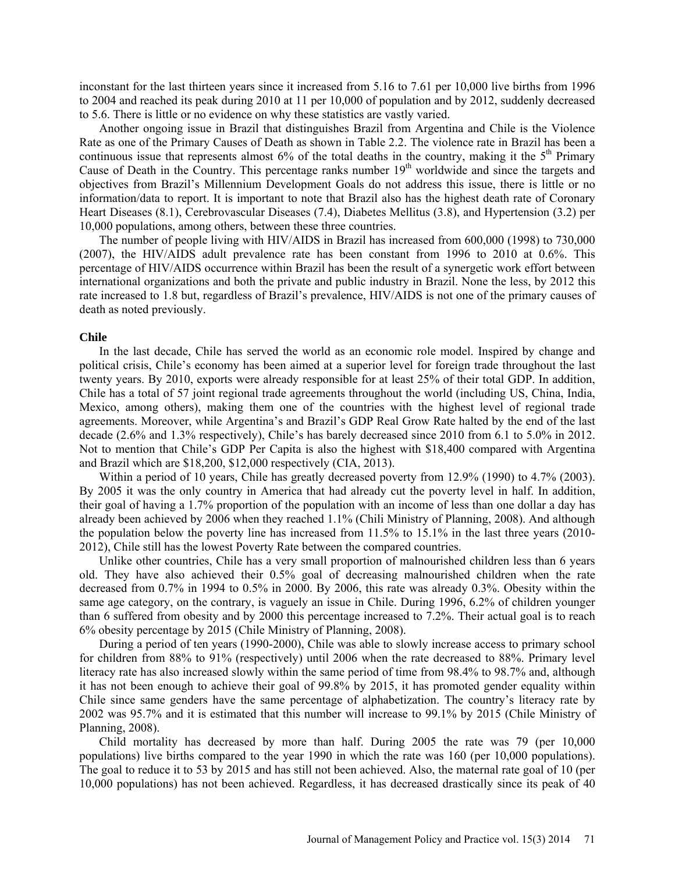inconstant for the last thirteen years since it increased from 5.16 to 7.61 per 10,000 live births from 1996 to 2004 and reached its peak during 2010 at 11 per 10,000 of population and by 2012, suddenly decreased to 5.6. There is little or no evidence on why these statistics are vastly varied.

Another ongoing issue in Brazil that distinguishes Brazil from Argentina and Chile is the Violence Rate as one of the Primary Causes of Death as shown in Table 2.2. The violence rate in Brazil has been a continuous issue that represents almost  $6\%$  of the total deaths in the country, making it the  $5<sup>th</sup>$  Primary Cause of Death in the Country. This percentage ranks number 19<sup>th</sup> worldwide and since the targets and objectives from Brazil's Millennium Development Goals do not address this issue, there is little or no information/data to report. It is important to note that Brazil also has the highest death rate of Coronary Heart Diseases (8.1), Cerebrovascular Diseases (7.4), Diabetes Mellitus (3.8), and Hypertension (3.2) per 10,000 populations, among others, between these three countries.

The number of people living with HIV/AIDS in Brazil has increased from 600,000 (1998) to 730,000 (2007), the HIV/AIDS adult prevalence rate has been constant from 1996 to 2010 at 0.6%. This percentage of HIV/AIDS occurrence within Brazil has been the result of a synergetic work effort between international organizations and both the private and public industry in Brazil. None the less, by 2012 this rate increased to 1.8 but, regardless of Brazil's prevalence, HIV/AIDS is not one of the primary causes of death as noted previously.

#### **Chile**

In the last decade, Chile has served the world as an economic role model. Inspired by change and political crisis, Chile's economy has been aimed at a superior level for foreign trade throughout the last twenty years. By 2010, exports were already responsible for at least 25% of their total GDP. In addition, Chile has a total of 57 joint regional trade agreements throughout the world (including US, China, India, Mexico, among others), making them one of the countries with the highest level of regional trade agreements. Moreover, while Argentina's and Brazil's GDP Real Grow Rate halted by the end of the last decade (2.6% and 1.3% respectively), Chile's has barely decreased since 2010 from 6.1 to 5.0% in 2012. Not to mention that Chile's GDP Per Capita is also the highest with \$18,400 compared with Argentina and Brazil which are \$18,200, \$12,000 respectively (CIA, 2013).

Within a period of 10 years, Chile has greatly decreased poverty from 12.9% (1990) to 4.7% (2003). By 2005 it was the only country in America that had already cut the poverty level in half. In addition, their goal of having a 1.7% proportion of the population with an income of less than one dollar a day has already been achieved by 2006 when they reached 1.1% (Chili Ministry of Planning, 2008). And although the population below the poverty line has increased from 11.5% to 15.1% in the last three years (2010- 2012), Chile still has the lowest Poverty Rate between the compared countries.

Unlike other countries, Chile has a very small proportion of malnourished children less than 6 years old. They have also achieved their 0.5% goal of decreasing malnourished children when the rate decreased from 0.7% in 1994 to 0.5% in 2000. By 2006, this rate was already 0.3%. Obesity within the same age category, on the contrary, is vaguely an issue in Chile. During 1996, 6.2% of children younger than 6 suffered from obesity and by 2000 this percentage increased to 7.2%. Their actual goal is to reach 6% obesity percentage by 2015 (Chile Ministry of Planning, 2008).

During a period of ten years (1990-2000), Chile was able to slowly increase access to primary school for children from 88% to 91% (respectively) until 2006 when the rate decreased to 88%. Primary level literacy rate has also increased slowly within the same period of time from 98.4% to 98.7% and, although it has not been enough to achieve their goal of 99.8% by 2015, it has promoted gender equality within Chile since same genders have the same percentage of alphabetization. The country's literacy rate by 2002 was 95.7% and it is estimated that this number will increase to 99.1% by 2015 (Chile Ministry of Planning, 2008).

Child mortality has decreased by more than half. During 2005 the rate was 79 (per 10,000 populations) live births compared to the year 1990 in which the rate was 160 (per 10,000 populations). The goal to reduce it to 53 by 2015 and has still not been achieved. Also, the maternal rate goal of 10 (per 10,000 populations) has not been achieved. Regardless, it has decreased drastically since its peak of 40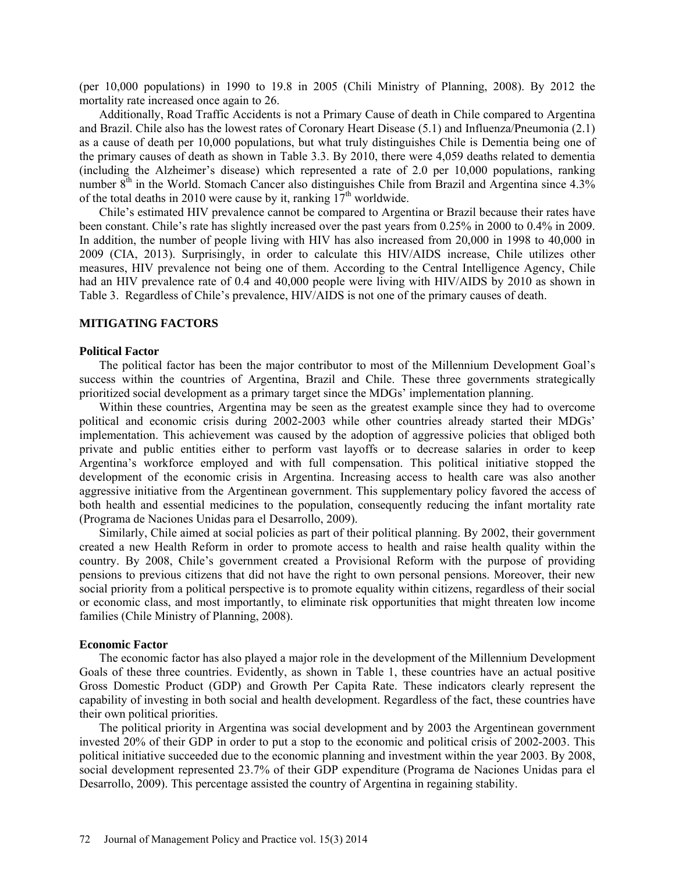(per 10,000 populations) in 1990 to 19.8 in 2005 (Chili Ministry of Planning, 2008). By 2012 the mortality rate increased once again to 26.

Additionally, Road Traffic Accidents is not a Primary Cause of death in Chile compared to Argentina and Brazil. Chile also has the lowest rates of Coronary Heart Disease (5.1) and Influenza/Pneumonia (2.1) as a cause of death per 10,000 populations, but what truly distinguishes Chile is Dementia being one of the primary causes of death as shown in Table 3.3. By 2010, there were 4,059 deaths related to dementia (including the Alzheimer's disease) which represented a rate of 2.0 per 10,000 populations, ranking number 8<sup>th</sup> in the World. Stomach Cancer also distinguishes Chile from Brazil and Argentina since 4.3% of the total deaths in 2010 were cause by it, ranking  $17<sup>th</sup>$  worldwide.

Chile's estimated HIV prevalence cannot be compared to Argentina or Brazil because their rates have been constant. Chile's rate has slightly increased over the past years from 0.25% in 2000 to 0.4% in 2009. In addition, the number of people living with HIV has also increased from 20,000 in 1998 to 40,000 in 2009 (CIA, 2013). Surprisingly, in order to calculate this HIV/AIDS increase, Chile utilizes other measures, HIV prevalence not being one of them. According to the Central Intelligence Agency, Chile had an HIV prevalence rate of 0.4 and 40,000 people were living with HIV/AIDS by 2010 as shown in Table 3. Regardless of Chile's prevalence, HIV/AIDS is not one of the primary causes of death.

#### **MITIGATING FACTORS**

#### **Political Factor**

The political factor has been the major contributor to most of the Millennium Development Goal's success within the countries of Argentina, Brazil and Chile. These three governments strategically prioritized social development as a primary target since the MDGs' implementation planning.

Within these countries, Argentina may be seen as the greatest example since they had to overcome political and economic crisis during 2002-2003 while other countries already started their MDGs' implementation. This achievement was caused by the adoption of aggressive policies that obliged both private and public entities either to perform vast layoffs or to decrease salaries in order to keep Argentina's workforce employed and with full compensation. This political initiative stopped the development of the economic crisis in Argentina. Increasing access to health care was also another aggressive initiative from the Argentinean government. This supplementary policy favored the access of both health and essential medicines to the population, consequently reducing the infant mortality rate (Programa de Naciones Unidas para el Desarrollo, 2009).

Similarly, Chile aimed at social policies as part of their political planning. By 2002, their government created a new Health Reform in order to promote access to health and raise health quality within the country. By 2008, Chile's government created a Provisional Reform with the purpose of providing pensions to previous citizens that did not have the right to own personal pensions. Moreover, their new social priority from a political perspective is to promote equality within citizens, regardless of their social or economic class, and most importantly, to eliminate risk opportunities that might threaten low income families (Chile Ministry of Planning, 2008).

#### **Economic Factor**

The economic factor has also played a major role in the development of the Millennium Development Goals of these three countries. Evidently, as shown in Table 1, these countries have an actual positive Gross Domestic Product (GDP) and Growth Per Capita Rate. These indicators clearly represent the capability of investing in both social and health development. Regardless of the fact, these countries have their own political priorities.

The political priority in Argentina was social development and by 2003 the Argentinean government invested 20% of their GDP in order to put a stop to the economic and political crisis of 2002-2003. This political initiative succeeded due to the economic planning and investment within the year 2003. By 2008, social development represented 23.7% of their GDP expenditure (Programa de Naciones Unidas para el Desarrollo, 2009). This percentage assisted the country of Argentina in regaining stability.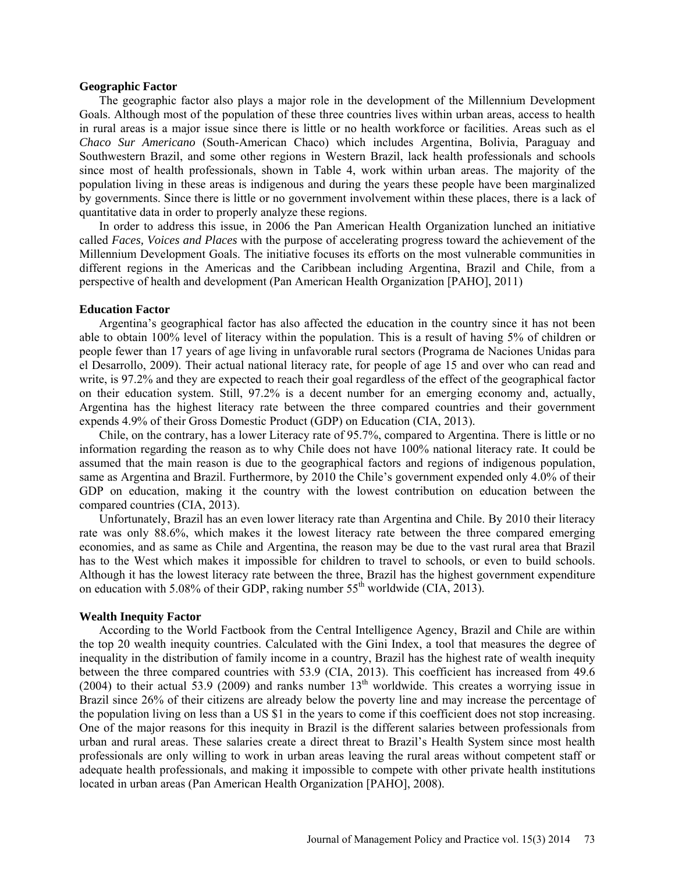#### **Geographic Factor**

The geographic factor also plays a major role in the development of the Millennium Development Goals. Although most of the population of these three countries lives within urban areas, access to health in rural areas is a major issue since there is little or no health workforce or facilities. Areas such as el *Chaco Sur Americano* (South-American Chaco) which includes Argentina, Bolivia, Paraguay and Southwestern Brazil, and some other regions in Western Brazil, lack health professionals and schools since most of health professionals, shown in Table 4, work within urban areas. The majority of the population living in these areas is indigenous and during the years these people have been marginalized by governments. Since there is little or no government involvement within these places, there is a lack of quantitative data in order to properly analyze these regions.

In order to address this issue, in 2006 the Pan American Health Organization lunched an initiative called *Faces, Voices and Places* with the purpose of accelerating progress toward the achievement of the Millennium Development Goals. The initiative focuses its efforts on the most vulnerable communities in different regions in the Americas and the Caribbean including Argentina, Brazil and Chile, from a perspective of health and development (Pan American Health Organization [PAHO], 2011)

#### **Education Factor**

Argentina's geographical factor has also affected the education in the country since it has not been able to obtain 100% level of literacy within the population. This is a result of having 5% of children or people fewer than 17 years of age living in unfavorable rural sectors (Programa de Naciones Unidas para el Desarrollo, 2009). Their actual national literacy rate, for people of age 15 and over who can read and write, is 97.2% and they are expected to reach their goal regardless of the effect of the geographical factor on their education system. Still, 97.2% is a decent number for an emerging economy and, actually, Argentina has the highest literacy rate between the three compared countries and their government expends 4.9% of their Gross Domestic Product (GDP) on Education (CIA, 2013).

Chile, on the contrary, has a lower Literacy rate of 95.7%, compared to Argentina. There is little or no information regarding the reason as to why Chile does not have 100% national literacy rate. It could be assumed that the main reason is due to the geographical factors and regions of indigenous population, same as Argentina and Brazil. Furthermore, by 2010 the Chile's government expended only 4.0% of their GDP on education, making it the country with the lowest contribution on education between the compared countries (CIA, 2013).

Unfortunately, Brazil has an even lower literacy rate than Argentina and Chile. By 2010 their literacy rate was only 88.6%, which makes it the lowest literacy rate between the three compared emerging economies, and as same as Chile and Argentina, the reason may be due to the vast rural area that Brazil has to the West which makes it impossible for children to travel to schools, or even to build schools. Although it has the lowest literacy rate between the three, Brazil has the highest government expenditure on education with 5.08% of their GDP, raking number  $55<sup>th</sup>$  worldwide (CIA, 2013).

#### **Wealth Inequity Factor**

According to the World Factbook from the Central Intelligence Agency, Brazil and Chile are within the top 20 wealth inequity countries. Calculated with the Gini Index, a tool that measures the degree of inequality in the distribution of family income in a country, Brazil has the highest rate of wealth inequity between the three compared countries with 53.9 (CIA, 2013). This coefficient has increased from 49.6 (2004) to their actual 53.9 (2009) and ranks number  $13<sup>th</sup>$  worldwide. This creates a worrying issue in Brazil since 26% of their citizens are already below the poverty line and may increase the percentage of the population living on less than a US \$1 in the years to come if this coefficient does not stop increasing. One of the major reasons for this inequity in Brazil is the different salaries between professionals from urban and rural areas. These salaries create a direct threat to Brazil's Health System since most health professionals are only willing to work in urban areas leaving the rural areas without competent staff or adequate health professionals, and making it impossible to compete with other private health institutions located in urban areas (Pan American Health Organization [PAHO], 2008).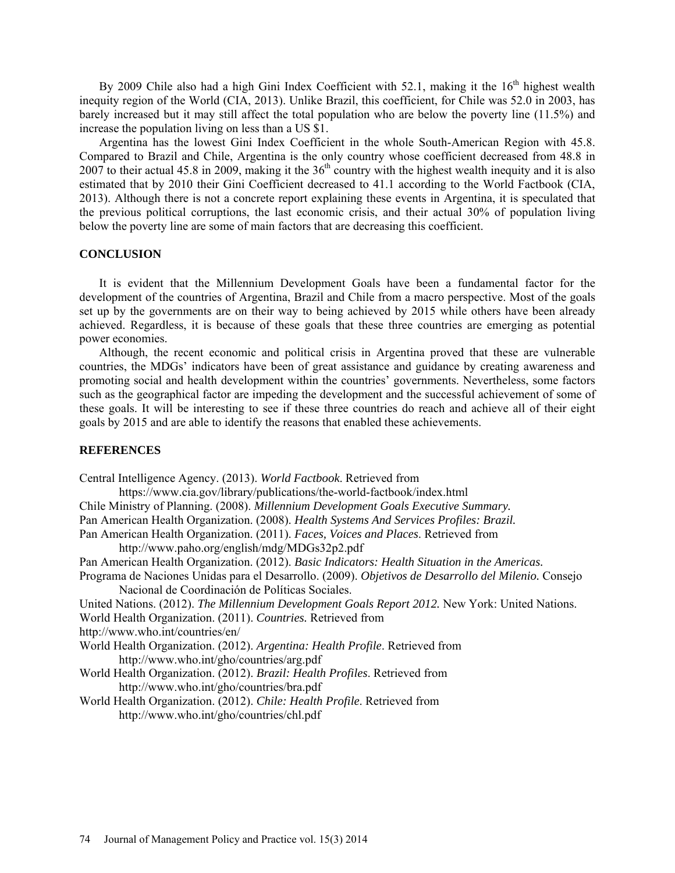By 2009 Chile also had a high Gini Index Coefficient with 52.1, making it the  $16<sup>th</sup>$  highest wealth inequity region of the World (CIA, 2013). Unlike Brazil, this coefficient, for Chile was 52.0 in 2003, has barely increased but it may still affect the total population who are below the poverty line (11.5%) and increase the population living on less than a US \$1.

Argentina has the lowest Gini Index Coefficient in the whole South-American Region with 45.8. Compared to Brazil and Chile, Argentina is the only country whose coefficient decreased from 48.8 in  $2007$  to their actual 45.8 in 2009, making it the  $36<sup>th</sup>$  country with the highest wealth inequity and it is also estimated that by 2010 their Gini Coefficient decreased to 41.1 according to the World Factbook (CIA, 2013). Although there is not a concrete report explaining these events in Argentina, it is speculated that the previous political corruptions, the last economic crisis, and their actual 30% of population living below the poverty line are some of main factors that are decreasing this coefficient.

### **CONCLUSION**

It is evident that the Millennium Development Goals have been a fundamental factor for the development of the countries of Argentina, Brazil and Chile from a macro perspective. Most of the goals set up by the governments are on their way to being achieved by 2015 while others have been already achieved. Regardless, it is because of these goals that these three countries are emerging as potential power economies.

Although, the recent economic and political crisis in Argentina proved that these are vulnerable countries, the MDGs' indicators have been of great assistance and guidance by creating awareness and promoting social and health development within the countries' governments. Nevertheless, some factors such as the geographical factor are impeding the development and the successful achievement of some of these goals. It will be interesting to see if these three countries do reach and achieve all of their eight goals by 2015 and are able to identify the reasons that enabled these achievements.

#### **REFERENCES**

Central Intelligence Agency. (2013). *World Factbook*. Retrieved from https://www.cia.gov/library/publications/the-world-factbook/index.html Chile Ministry of Planning. (2008). *Millennium Development Goals Executive Summary.* Pan American Health Organization. (2008). *Health Systems And Services Profiles: Brazil.* Pan American Health Organization. (2011). *Faces, Voices and Places*. Retrieved from http://www.paho.org/english/mdg/MDGs32p2.pdf Pan American Health Organization. (2012). *Basic Indicators: Health Situation in the Americas.* Programa de Naciones Unidas para el Desarrollo. (2009). *Objetivos de Desarrollo del Milenio.* Consejo Nacional de Coordinación de Políticas Sociales. United Nations. (2012). *The Millennium Development Goals Report 2012.* New York: United Nations. World Health Organization. (2011). *Countries.* Retrieved from http://www.who.int/countries/en/ World Health Organization. (2012). *Argentina: Health Profile*. Retrieved from http://www.who.int/gho/countries/arg.pdf World Health Organization. (2012). *Brazil: Health Profiles*. Retrieved from http://www.who.int/gho/countries/bra.pdf World Health Organization. (2012). *Chile: Health Profile*. Retrieved from http://www.who.int/gho/countries/chl.pdf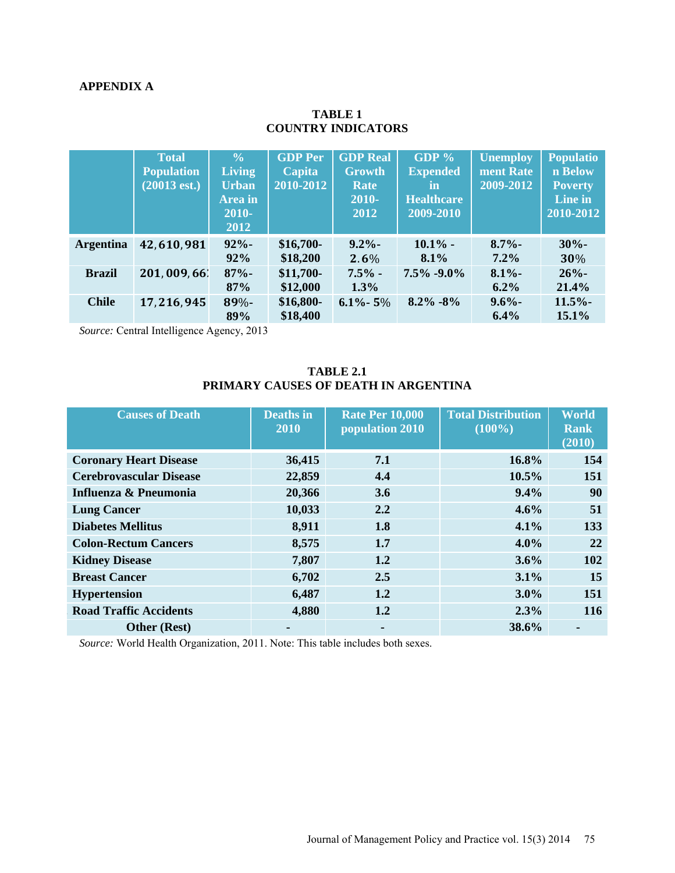# **APPENDIX A**

# **TABLE 1 COUNTRY INDICATORS**

|                  | <b>Total</b><br><b>Population</b><br>$(20013 \text{ est.})$ | $\frac{0}{0}$<br><b>Living</b><br><b>Urban</b><br>Area in<br>2010-<br>2012 | <b>GDP Per</b><br>Capita<br>2010-2012 | <b>GDP Real</b><br><b>Growth</b><br>Rate<br>2010-<br>2012 | GDP $%$<br><b>Expended</b><br>in<br><b>Healthcare</b><br>2009-2010 | <b>Unemploy</b><br>ment Rate<br>2009-2012 | <b>Populatio</b><br>n Below<br><b>Poverty</b><br>Line in<br>2010-2012 |
|------------------|-------------------------------------------------------------|----------------------------------------------------------------------------|---------------------------------------|-----------------------------------------------------------|--------------------------------------------------------------------|-------------------------------------------|-----------------------------------------------------------------------|
| <b>Argentina</b> | 42,610,981                                                  | $92% -$<br>92%                                                             | $$16,700-$<br>\$18,200                | $9.2\%$ -<br>$2.6\%$                                      | $10.1\%$ -<br>$8.1\%$                                              | 8.7%<br>$7.2\%$                           | $30% -$<br>30%                                                        |
| <b>Brazil</b>    | 201,009,66.                                                 | $87% -$<br>87%                                                             | $$11,700-$<br>\$12,000                | $7.5\%$ -<br>$1.3\%$                                      | $7.5\% -9.0\%$                                                     | $8.1\%$<br>$6.2\%$                        | $26% -$<br>21.4%                                                      |
| <b>Chile</b>     | 17, 216, 945                                                | $89% -$<br>89%                                                             | \$16,800-<br>\$18,400                 | $6.1\% - 5\%$                                             | $8.2\% - 8\%$                                                      | $9.6\%$<br>6.4%                           | 11.5%<br>15.1%                                                        |

*Source:* Central Intelligence Agency, 2013

### **TABLE 2.1 PRIMARY CAUSES OF DEATH IN ARGENTINA**

| <b>Causes of Death</b>         | <b>Deaths in</b><br>2010 | <b>Rate Per 10,000</b><br>population 2010 | <b>Total Distribution</b><br>$(100\%)$ | <b>World</b><br><b>Rank</b><br>(2010) |
|--------------------------------|--------------------------|-------------------------------------------|----------------------------------------|---------------------------------------|
| <b>Coronary Heart Disease</b>  | 36,415                   | 7.1                                       | 16.8%                                  | 154                                   |
| <b>Cerebrovascular Disease</b> | 22,859                   | 4.4                                       | $10.5\%$                               | 151                                   |
| Influenza & Pneumonia          | 20,366                   | 3.6                                       | $9.4\%$                                | 90                                    |
| <b>Lung Cancer</b>             | 10,033                   | 2.2                                       | $4.6\%$                                | 51                                    |
| <b>Diabetes Mellitus</b>       | 8,911                    | 1.8                                       | 4.1%                                   | 133                                   |
| <b>Colon-Rectum Cancers</b>    | 8,575                    | 1.7                                       | $4.0\%$                                | 22                                    |
| <b>Kidney Disease</b>          | 7,807                    | 1.2                                       | $3.6\%$                                | 102                                   |
| <b>Breast Cancer</b>           | 6,702                    | 2.5                                       | 3.1%                                   | 15                                    |
| <b>Hypertension</b>            | 6,487                    | 1.2                                       | $3.0\%$                                | 151                                   |
| <b>Road Traffic Accidents</b>  | 4,880                    | 1.2                                       | 2.3%                                   | 116                                   |
| <b>Other (Rest)</b>            |                          |                                           | 38.6%                                  |                                       |

*Source:* World Health Organization, 2011. Note: This table includes both sexes.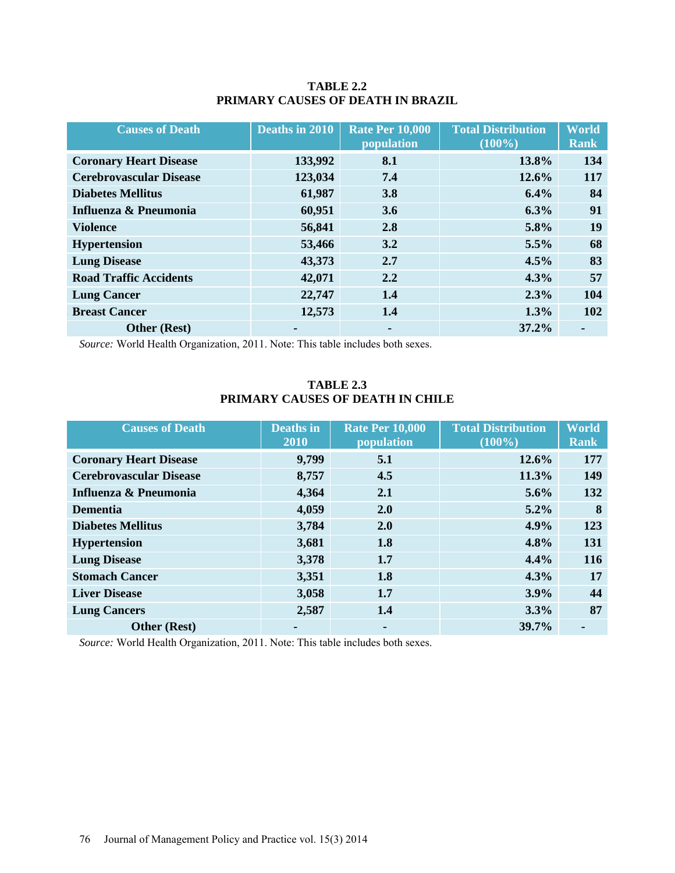| <b>Causes of Death</b>         | Deaths in 2010 | <b>Rate Per 10,000</b><br>population | <b>Total Distribution</b><br>$(100\%)$ | <b>World</b><br><b>Rank</b> |
|--------------------------------|----------------|--------------------------------------|----------------------------------------|-----------------------------|
| <b>Coronary Heart Disease</b>  | 133,992        | 8.1                                  | 13.8%                                  | 134                         |
| <b>Cerebrovascular Disease</b> | 123,034        | 7.4                                  | $12.6\%$                               | 117                         |
| <b>Diabetes Mellitus</b>       | 61,987         | 3.8                                  | $6.4\%$                                | 84                          |
| Influenza & Pneumonia          | 60,951         | 3.6                                  | 6.3%                                   | 91                          |
| <b>Violence</b>                | 56,841         | 2.8                                  | 5.8%                                   | 19                          |
| <b>Hypertension</b>            | 53,466         | 3.2                                  | 5.5%                                   | 68                          |
| <b>Lung Disease</b>            | 43,373         | 2.7                                  | 4.5%                                   | 83                          |
| <b>Road Traffic Accidents</b>  | 42,071         | 2.2                                  | 4.3%                                   | 57                          |
| <b>Lung Cancer</b>             | 22,747         | 1.4                                  | 2.3%                                   | 104                         |
| <b>Breast Cancer</b>           | 12,573         | 1.4                                  | $1.3\%$                                | <b>102</b>                  |
| <b>Other (Rest)</b>            |                |                                      | $37.2\%$                               | ۰                           |

### **TABLE 2.2 PRIMARY CAUSES OF DEATH IN BRAZIL**

*Source:* World Health Organization, 2011. Note: This table includes both sexes.

### **TABLE 2.3 PRIMARY CAUSES OF DEATH IN CHILE**

| <b>Causes of Death</b>         | <b>Deaths in</b><br>2010 | <b>Rate Per 10,000</b><br>population | <b>Total Distribution</b><br>$(100\%)$ | <b>World</b><br><b>Rank</b> |
|--------------------------------|--------------------------|--------------------------------------|----------------------------------------|-----------------------------|
| <b>Coronary Heart Disease</b>  | 9,799                    | 5.1                                  | $12.6\%$                               | 177                         |
| <b>Cerebrovascular Disease</b> | 8,757                    | 4.5                                  | 11.3%                                  | 149                         |
| Influenza & Pneumonia          | 4,364                    | 2.1                                  | 5.6%                                   | 132                         |
| <b>Dementia</b>                | 4,059                    | 2.0                                  | $5.2\%$                                | 8                           |
| <b>Diabetes Mellitus</b>       | 3,784                    | 2.0                                  | 4.9%                                   | 123                         |
| <b>Hypertension</b>            | 3,681                    | 1.8                                  | 4.8%                                   | 131                         |
| <b>Lung Disease</b>            | 3,378                    | 1.7                                  | 4.4%                                   | <b>116</b>                  |
| <b>Stomach Cancer</b>          | 3,351                    | 1.8                                  | $4.3\%$                                | 17                          |
| <b>Liver Disease</b>           | 3,058                    | 1.7                                  | 3.9%                                   | 44                          |
| <b>Lung Cancers</b>            | 2,587                    | 1.4                                  | 3.3%                                   | 87                          |
| <b>Other (Rest)</b>            |                          |                                      | 39.7%                                  |                             |

*Source:* World Health Organization, 2011. Note: This table includes both sexes.